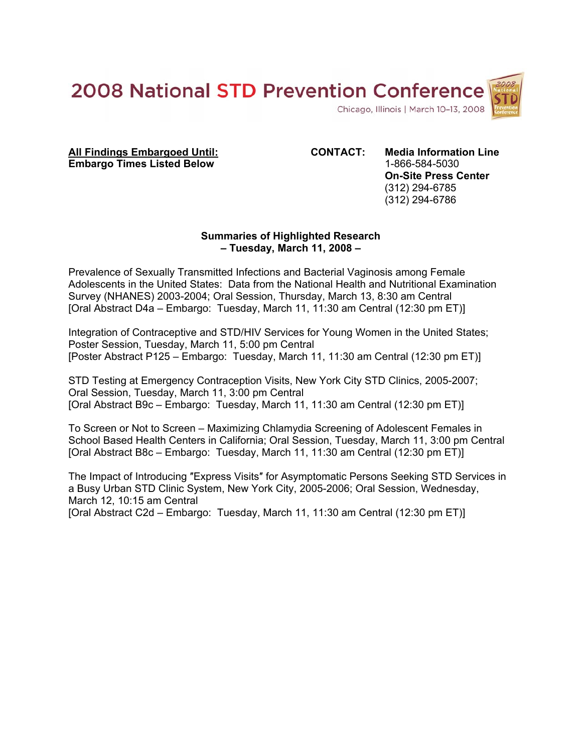

**All Findings Embargoed Until: CONTACT: Media Information Line Embargo Times Listed Below** 1-866-584-5030

**On-Site Press Center**  (312) 294-6785 (312) 294-6786

# **Summaries of Highlighted Research – Tuesday, March 11, 2008 –**

Prevalence of Sexually Transmitted Infections and Bacterial Vaginosis among Female Adolescents in the United States: Data from the National Health and Nutritional Examination Survey (NHANES) 2003-2004; Oral Session, Thursday, March 13, 8:30 am Central [Oral Abstract D4a – Embargo: Tuesday, March 11, 11:30 am Central (12:30 pm ET)]

Integration of Contraceptive and STD/HIV Services for Young Women in the United States; Poster Session, Tuesday, March 11, 5:00 pm Central [Poster Abstract P125 – Embargo: Tuesday, March 11, 11:30 am Central (12:30 pm ET)]

STD Testing at Emergency Contraception Visits, New York City STD Clinics, 2005-2007; Oral Session, Tuesday, March 11, 3:00 pm Central [Oral Abstract B9c – Embargo: Tuesday, March 11, 11:30 am Central (12:30 pm ET)]

To Screen or Not to Screen – Maximizing Chlamydia Screening of Adolescent Females in School Based Health Centers in California; Oral Session, Tuesday, March 11, 3:00 pm Central [Oral Abstract B8c – Embargo: Tuesday, March 11, 11:30 am Central (12:30 pm ET)]

The Impact of Introducing ″Express Visits″ for Asymptomatic Persons Seeking STD Services in a Busy Urban STD Clinic System, New York City, 2005-2006; Oral Session, Wednesday, March 12, 10:15 am Central

[Oral Abstract C2d – Embargo: Tuesday, March 11, 11:30 am Central (12:30 pm ET)]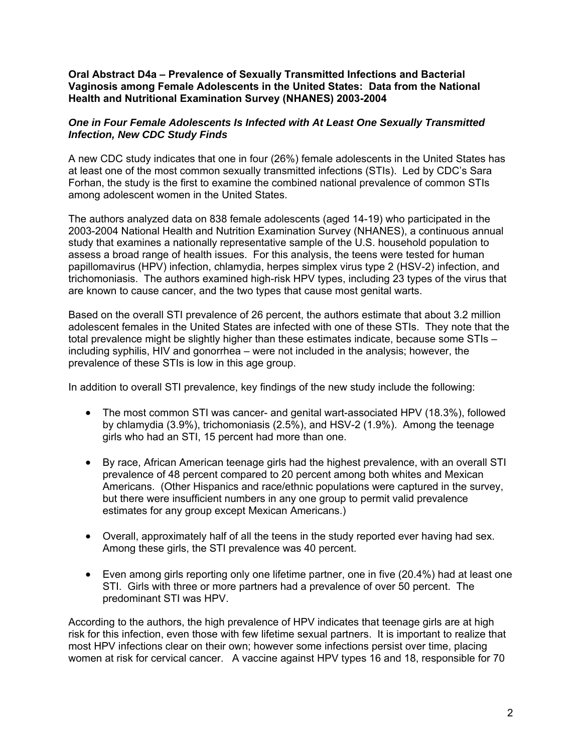**Oral Abstract D4a – Prevalence of Sexually Transmitted Infections and Bacterial Vaginosis among Female Adolescents in the United States: Data from the National Health and Nutritional Examination Survey (NHANES) 2003-2004** 

# *One in Four Female Adolescents Is Infected with At Least One Sexually Transmitted Infection, New CDC Study Finds*

A new CDC study indicates that one in four (26%) female adolescents in the United States has at least one of the most common sexually transmitted infections (STIs). Led by CDC's Sara Forhan, the study is the first to examine the combined national prevalence of common STIs among adolescent women in the United States.

The authors analyzed data on 838 female adolescents (aged 14-19) who participated in the 2003-2004 National Health and Nutrition Examination Survey (NHANES), a continuous annual study that examines a nationally representative sample of the U.S. household population to assess a broad range of health issues. For this analysis, the teens were tested for human papillomavirus (HPV) infection, chlamydia, herpes simplex virus type 2 (HSV-2) infection, and trichomoniasis. The authors examined high-risk HPV types, including 23 types of the virus that are known to cause cancer, and the two types that cause most genital warts.

Based on the overall STI prevalence of 26 percent, the authors estimate that about 3.2 million adolescent females in the United States are infected with one of these STIs. They note that the total prevalence might be slightly higher than these estimates indicate, because some STIs – including syphilis, HIV and gonorrhea – were not included in the analysis; however, the prevalence of these STIs is low in this age group.

In addition to overall STI prevalence, key findings of the new study include the following:

- The most common STI was cancer- and genital wart-associated HPV (18.3%), followed by chlamydia (3.9%), trichomoniasis (2.5%), and HSV-2 (1.9%). Among the teenage girls who had an STI, 15 percent had more than one.
- By race, African American teenage girls had the highest prevalence, with an overall STI prevalence of 48 percent compared to 20 percent among both whites and Mexican Americans. (Other Hispanics and race/ethnic populations were captured in the survey, but there were insufficient numbers in any one group to permit valid prevalence estimates for any group except Mexican Americans.)
- Overall, approximately half of all the teens in the study reported ever having had sex. Among these girls, the STI prevalence was 40 percent.
- Even among girls reporting only one lifetime partner, one in five (20.4%) had at least one STI. Girls with three or more partners had a prevalence of over 50 percent. The predominant STI was HPV.

According to the authors, the high prevalence of HPV indicates that teenage girls are at high risk for this infection, even those with few lifetime sexual partners. It is important to realize that most HPV infections clear on their own; however some infections persist over time, placing women at risk for cervical cancer. A vaccine against HPV types 16 and 18, responsible for 70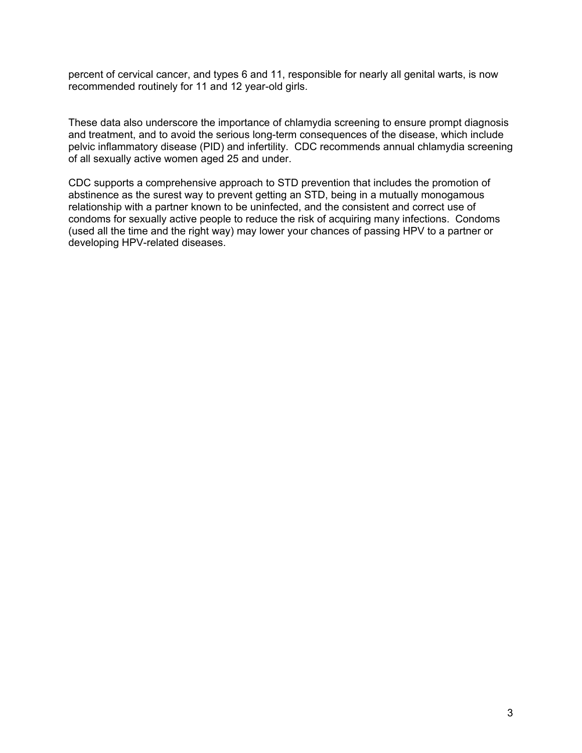percent of cervical cancer, and types 6 and 11, responsible for nearly all genital warts, is now recommended routinely for 11 and 12 year-old girls.

These data also underscore the importance of chlamydia screening to ensure prompt diagnosis and treatment, and to avoid the serious long-term consequences of the disease, which include pelvic inflammatory disease (PID) and infertility. CDC recommends annual chlamydia screening of all sexually active women aged 25 and under.

CDC supports a comprehensive approach to STD prevention that includes the promotion of abstinence as the surest way to prevent getting an STD, being in a mutually monogamous relationship with a partner known to be uninfected, and the consistent and correct use of condoms for sexually active people to reduce the risk of acquiring many infections. Condoms (used all the time and the right way) may lower your chances of passing HPV to a partner or developing HPV-related diseases.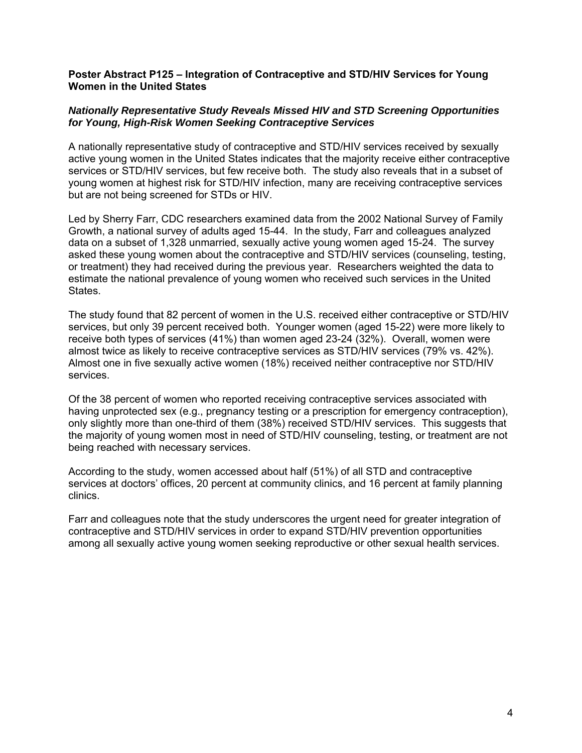#### **Poster Abstract P125 – Integration of Contraceptive and STD/HIV Services for Young Women in the United States**

# *Nationally Representative Study Reveals Missed HIV and STD Screening Opportunities for Young, High-Risk Women Seeking Contraceptive Services*

A nationally representative study of contraceptive and STD/HIV services received by sexually active young women in the United States indicates that the majority receive either contraceptive services or STD/HIV services, but few receive both. The study also reveals that in a subset of young women at highest risk for STD/HIV infection, many are receiving contraceptive services but are not being screened for STDs or HIV.

Led by Sherry Farr, CDC researchers examined data from the 2002 National Survey of Family Growth, a national survey of adults aged 15-44. In the study, Farr and colleagues analyzed data on a subset of 1,328 unmarried, sexually active young women aged 15-24. The survey asked these young women about the contraceptive and STD/HIV services (counseling, testing, or treatment) they had received during the previous year. Researchers weighted the data to estimate the national prevalence of young women who received such services in the United States.

The study found that 82 percent of women in the U.S. received either contraceptive or STD/HIV services, but only 39 percent received both. Younger women (aged 15-22) were more likely to receive both types of services (41%) than women aged 23-24 (32%). Overall, women were almost twice as likely to receive contraceptive services as STD/HIV services (79% vs. 42%). Almost one in five sexually active women (18%) received neither contraceptive nor STD/HIV services.

Of the 38 percent of women who reported receiving contraceptive services associated with having unprotected sex (e.g., pregnancy testing or a prescription for emergency contraception), only slightly more than one-third of them (38%) received STD/HIV services. This suggests that the majority of young women most in need of STD/HIV counseling, testing, or treatment are not being reached with necessary services.

According to the study, women accessed about half (51%) of all STD and contraceptive services at doctors' offices, 20 percent at community clinics, and 16 percent at family planning clinics.

Farr and colleagues note that the study underscores the urgent need for greater integration of contraceptive and STD/HIV services in order to expand STD/HIV prevention opportunities among all sexually active young women seeking reproductive or other sexual health services.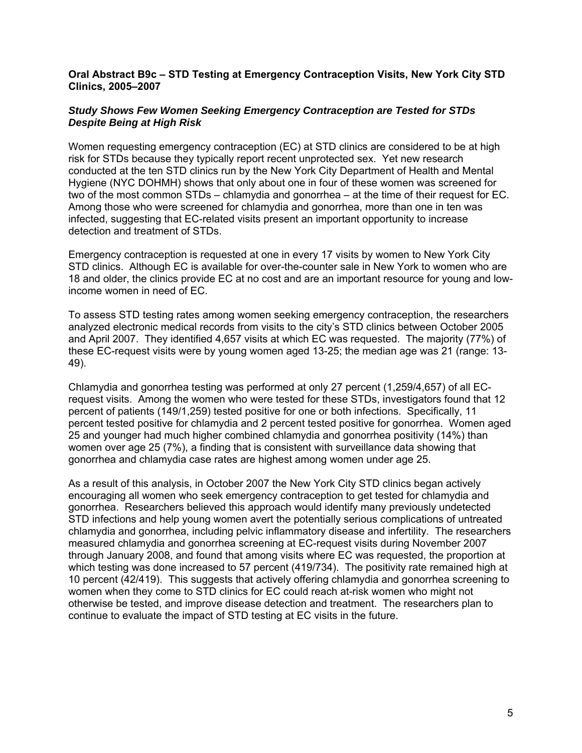#### **Oral Abstract B9c – STD Testing at Emergency Contraception Visits, New York City STD Clinics, 2005–2007**

# *Study Shows Few Women Seeking Emergency Contraception are Tested for STDs Despite Being at High Risk*

Women requesting emergency contraception (EC) at STD clinics are considered to be at high risk for STDs because they typically report recent unprotected sex. Yet new research conducted at the ten STD clinics run by the New York City Department of Health and Mental Hygiene (NYC DOHMH) shows that only about one in four of these women was screened for two of the most common STDs – chlamydia and gonorrhea – at the time of their request for EC. Among those who were screened for chlamydia and gonorrhea, more than one in ten was infected, suggesting that EC-related visits present an important opportunity to increase detection and treatment of STDs.

Emergency contraception is requested at one in every 17 visits by women to New York City STD clinics. Although EC is available for over-the-counter sale in New York to women who are 18 and older, the clinics provide EC at no cost and are an important resource for young and lowincome women in need of EC.

To assess STD testing rates among women seeking emergency contraception, the researchers analyzed electronic medical records from visits to the city's STD clinics between October 2005 and April 2007. They identified 4,657 visits at which EC was requested. The majority (77%) of these EC-request visits were by young women aged 13-25; the median age was 21 (range: 13- 49).

Chlamydia and gonorrhea testing was performed at only 27 percent (1,259/4,657) of all ECrequest visits. Among the women who were tested for these STDs, investigators found that 12 percent of patients (149/1,259) tested positive for one or both infections. Specifically, 11 percent tested positive for chlamydia and 2 percent tested positive for gonorrhea. Women aged 25 and younger had much higher combined chlamydia and gonorrhea positivity (14%) than women over age 25 (7%), a finding that is consistent with surveillance data showing that gonorrhea and chlamydia case rates are highest among women under age 25.

As a result of this analysis, in October 2007 the New York City STD clinics began actively encouraging all women who seek emergency contraception to get tested for chlamydia and gonorrhea. Researchers believed this approach would identify many previously undetected STD infections and help young women avert the potentially serious complications of untreated chlamydia and gonorrhea, including pelvic inflammatory disease and infertility. The researchers measured chlamydia and gonorrhea screening at EC-request visits during November 2007 through January 2008, and found that among visits where EC was requested, the proportion at which testing was done increased to 57 percent (419/734). The positivity rate remained high at 10 percent (42/419). This suggests that actively offering chlamydia and gonorrhea screening to women when they come to STD clinics for EC could reach at-risk women who might not otherwise be tested, and improve disease detection and treatment. The researchers plan to continue to evaluate the impact of STD testing at EC visits in the future.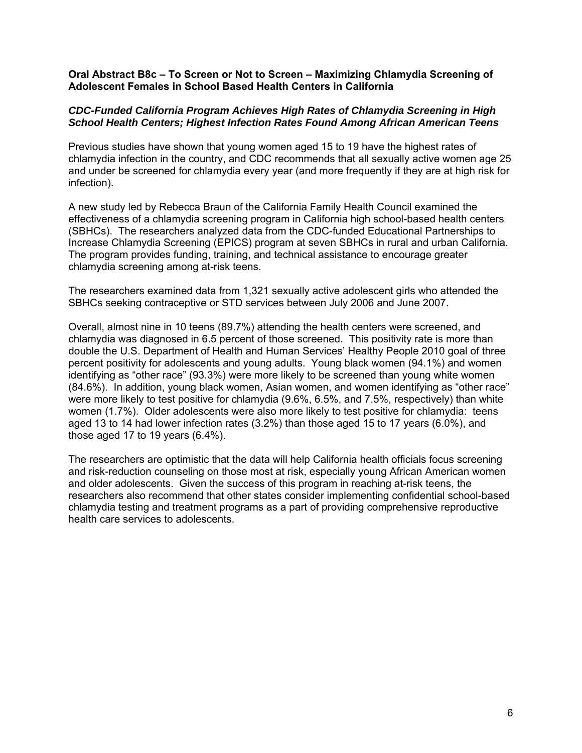#### **Oral Abstract B8c – To Screen or Not to Screen – Maximizing Chlamydia Screening of Adolescent Females in School Based Health Centers in California**

# *CDC-Funded California Program Achieves High Rates of Chlamydia Screening in High School Health Centers; Highest Infection Rates Found Among African American Teens*

Previous studies have shown that young women aged 15 to 19 have the highest rates of chlamydia infection in the country, and CDC recommends that all sexually active women age 25 and under be screened for chlamydia every year (and more frequently if they are at high risk for infection).

A new study led by Rebecca Braun of the California Family Health Council examined the effectiveness of a chlamydia screening program in California high school-based health centers (SBHCs). The researchers analyzed data from the CDC-funded Educational Partnerships to Increase Chlamydia Screening (EPICS) program at seven SBHCs in rural and urban California. The program provides funding, training, and technical assistance to encourage greater chlamydia screening among at-risk teens.

The researchers examined data from 1,321 sexually active adolescent girls who attended the SBHCs seeking contraceptive or STD services between July 2006 and June 2007.

Overall, almost nine in 10 teens (89.7%) attending the health centers were screened, and chlamydia was diagnosed in 6.5 percent of those screened. This positivity rate is more than double the U.S. Department of Health and Human Services' Healthy People 2010 goal of three percent positivity for adolescents and young adults. Young black women (94.1%) and women identifying as "other race" (93.3%) were more likely to be screened than young white women (84.6%). In addition, young black women, Asian women, and women identifying as "other race" were more likely to test positive for chlamydia (9.6%, 6.5%, and 7.5%, respectively) than white women (1.7%). Older adolescents were also more likely to test positive for chlamydia: teens aged 13 to 14 had lower infection rates (3.2%) than those aged 15 to 17 years (6.0%), and those aged 17 to 19 years (6.4%).

The researchers are optimistic that the data will help California health officials focus screening and risk-reduction counseling on those most at risk, especially young African American women and older adolescents. Given the success of this program in reaching at-risk teens, the researchers also recommend that other states consider implementing confidential school-based chlamydia testing and treatment programs as a part of providing comprehensive reproductive health care services to adolescents.